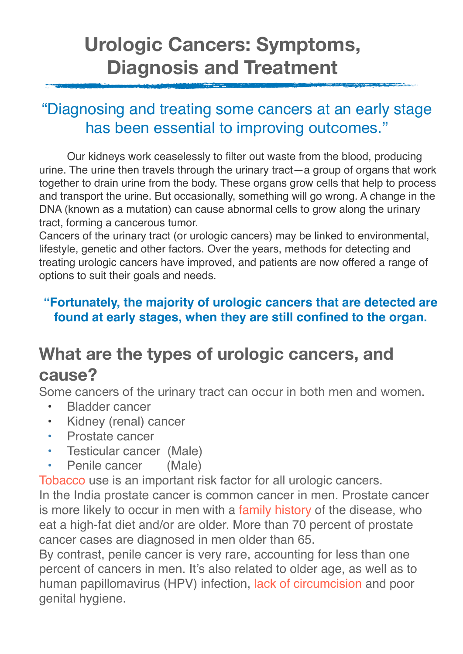# **Urologic Cancers: Symptoms, Diagnosis and Treatment**

### "Diagnosing and treating some cancers at an early stage has been essential to improving outcomes."

Our kidneys work ceaselessly to filter out waste from the blood, producing urine. The urine then travels through the urinary tract—a group of organs that work together to drain urine from the body. These organs grow cells that help to process and transport the urine. But occasionally, something will go wrong. A change in the DNA (known as a mutation) can cause abnormal cells to grow along the urinary tract, forming a cancerous tumor.

Cancers of the urinary tract (or urologic cancers) may be linked to environmental, lifestyle, genetic and other factors. Over the years, methods for detecting and treating urologic cancers have improved, and patients are now offered a range of options to suit their goals and needs.

#### **"Fortunately, the majority of urologic cancers that are detected are found at early stages, when they are still confined to the organ.**

# **What are the types of urologic cancers, and cause?**

Some cancers of the urinary tract can occur in both men and women.

- Bladder cancer
- Kidney (renal) cancer
- Prostate cancer
- Testicular cancer (Male)
- Penile cancer (Male)

Tobacco use is an important risk factor for all urologic cancers.

In the India prostate cancer is common cancer in men. Prostate cancer is more likely to occur in men with a family history of the disease, who eat a high-fat diet and/or are older. More than 70 percent of prostate cancer cases are diagnosed in men older than 65.

By contrast, penile cancer is very rare, accounting for less than one percent of cancers in men. It's also related to older age, as well as to human papillomavirus (HPV) infection, lack of circumcision and poor genital hygiene.